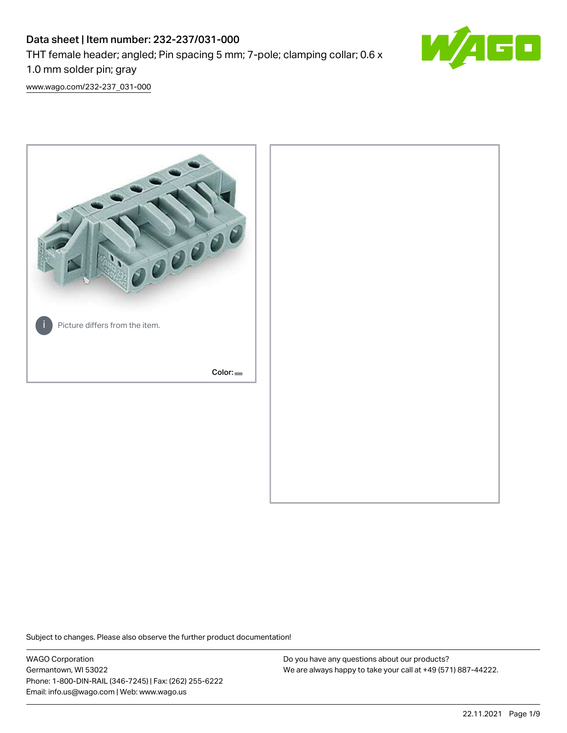# Data sheet | Item number: 232-237/031-000 THT female header; angled; Pin spacing 5 mm; 7-pole; clamping collar; 0.6 x 1.0 mm solder pin; gray



[www.wago.com/232-237\\_031-000](http://www.wago.com/232-237_031-000)



Subject to changes. Please also observe the further product documentation!

WAGO Corporation Germantown, WI 53022 Phone: 1-800-DIN-RAIL (346-7245) | Fax: (262) 255-6222 Email: info.us@wago.com | Web: www.wago.us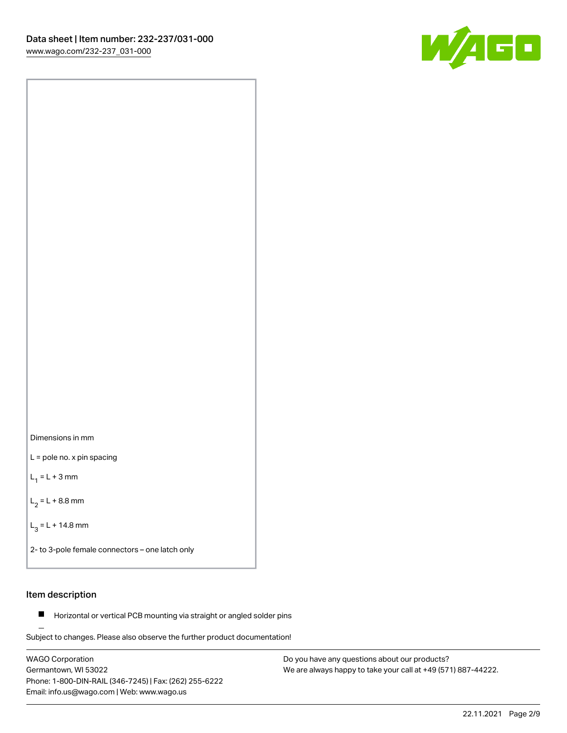

Dimensions in mm

L = pole no. x pin spacing

 $L_1 = L + 3$  mm

 $L_2 = L + 8.8$  mm

 $L_3 = L + 14.8$  mm

2- to 3-pole female connectors – one latch only

# Item description

**Horizontal or vertical PCB mounting via straight or angled solder pins** 

Subject to changes. Please also observe the further product documentation! For board-to-board and board-to-wire connections

WAGO Corporation Germantown, WI 53022 Phone: 1-800-DIN-RAIL (346-7245) | Fax: (262) 255-6222 Email: info.us@wago.com | Web: www.wago.us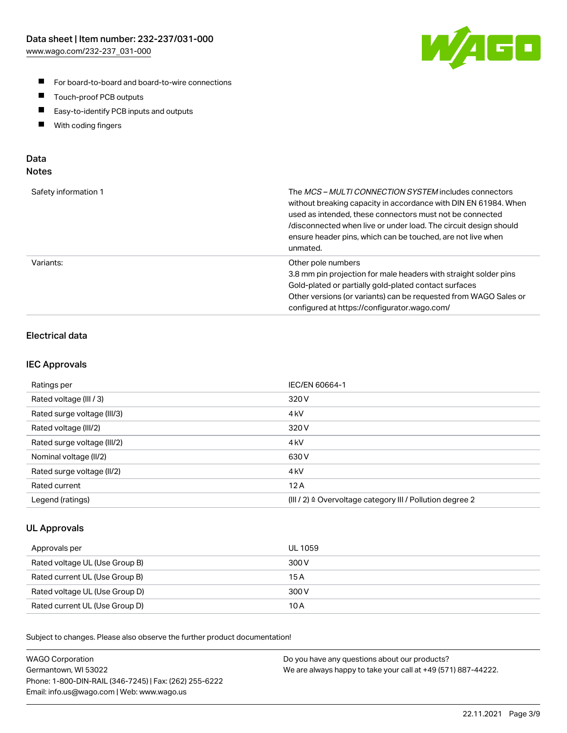

- For board-to-board and board-to-wire connections
- $\blacksquare$ Touch-proof PCB outputs
- $\blacksquare$ Easy-to-identify PCB inputs and outputs
- $\blacksquare$ With coding fingers

# Data **Notes**

| Safety information 1 | The <i>MCS – MULTI CONNECTION SYSTEM</i> includes connectors<br>without breaking capacity in accordance with DIN EN 61984. When<br>used as intended, these connectors must not be connected<br>/disconnected when live or under load. The circuit design should<br>ensure header pins, which can be touched, are not live when<br>unmated. |
|----------------------|--------------------------------------------------------------------------------------------------------------------------------------------------------------------------------------------------------------------------------------------------------------------------------------------------------------------------------------------|
| Variants:            | Other pole numbers<br>3.8 mm pin projection for male headers with straight solder pins<br>Gold-plated or partially gold-plated contact surfaces<br>Other versions (or variants) can be requested from WAGO Sales or<br>configured at https://configurator.wago.com/                                                                        |

# Electrical data

# IEC Approvals

| Ratings per                 | IEC/EN 60664-1                                                        |
|-----------------------------|-----------------------------------------------------------------------|
| Rated voltage (III / 3)     | 320 V                                                                 |
| Rated surge voltage (III/3) | 4 <sub>k</sub> V                                                      |
| Rated voltage (III/2)       | 320 V                                                                 |
| Rated surge voltage (III/2) | 4 <sub>k</sub> V                                                      |
| Nominal voltage (II/2)      | 630 V                                                                 |
| Rated surge voltage (II/2)  | 4 <sub>kV</sub>                                                       |
| Rated current               | 12A                                                                   |
| Legend (ratings)            | $(III / 2)$ $\triangle$ Overvoltage category III / Pollution degree 2 |

# UL Approvals

| Approvals per                  | UL 1059 |
|--------------------------------|---------|
| Rated voltage UL (Use Group B) | 300 V   |
| Rated current UL (Use Group B) | 15 A    |
| Rated voltage UL (Use Group D) | 300 V   |
| Rated current UL (Use Group D) | 10 A    |

Subject to changes. Please also observe the further product documentation!

| <b>WAGO Corporation</b>                                | Do you have any questions about our products?                 |
|--------------------------------------------------------|---------------------------------------------------------------|
| Germantown, WI 53022                                   | We are always happy to take your call at +49 (571) 887-44222. |
| Phone: 1-800-DIN-RAIL (346-7245)   Fax: (262) 255-6222 |                                                               |
| Email: info.us@wago.com   Web: www.wago.us             |                                                               |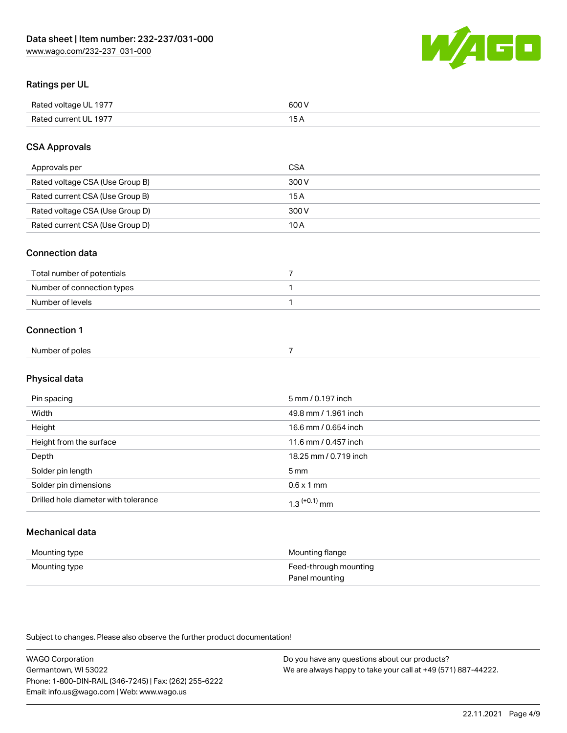

# Ratings per UL

| Rated voltage UL 1977 | soo v<br>วบบ<br>. |
|-----------------------|-------------------|
| Rated current UL 1977 | --                |
|                       | . J <i>r</i>      |

# CSA Approvals

| Approvals per                   | CSA   |
|---------------------------------|-------|
| Rated voltage CSA (Use Group B) | 300 V |
| Rated current CSA (Use Group B) | 15 A  |
| Rated voltage CSA (Use Group D) | 300 V |
| Rated current CSA (Use Group D) | 10 A  |

#### Connection data

| Total number of potentials |  |
|----------------------------|--|
| Number of connection types |  |
| Number of levels           |  |

#### Connection 1

| Number of poles |  |  |
|-----------------|--|--|
|                 |  |  |

# Physical data

| Pin spacing                          | 5 mm / 0.197 inch     |
|--------------------------------------|-----------------------|
| Width                                | 49.8 mm / 1.961 inch  |
| Height                               | 16.6 mm / 0.654 inch  |
| Height from the surface              | 11.6 mm / 0.457 inch  |
| Depth                                | 18.25 mm / 0.719 inch |
| Solder pin length                    | 5 <sub>mm</sub>       |
| Solder pin dimensions                | $0.6 \times 1$ mm     |
| Drilled hole diameter with tolerance | $1.3$ $(+0.1)$ mm     |

# Mechanical data

| Mounting type | Mounting flange                         |
|---------------|-----------------------------------------|
| Mounting type | Feed-through mounting<br>Panel mounting |

Subject to changes. Please also observe the further product documentation!

| <b>WAGO Corporation</b>                                | Do you have any questions about our products?                 |
|--------------------------------------------------------|---------------------------------------------------------------|
| Germantown, WI 53022                                   | We are always happy to take your call at +49 (571) 887-44222. |
| Phone: 1-800-DIN-RAIL (346-7245)   Fax: (262) 255-6222 |                                                               |
| Email: info.us@wago.com   Web: www.wago.us             |                                                               |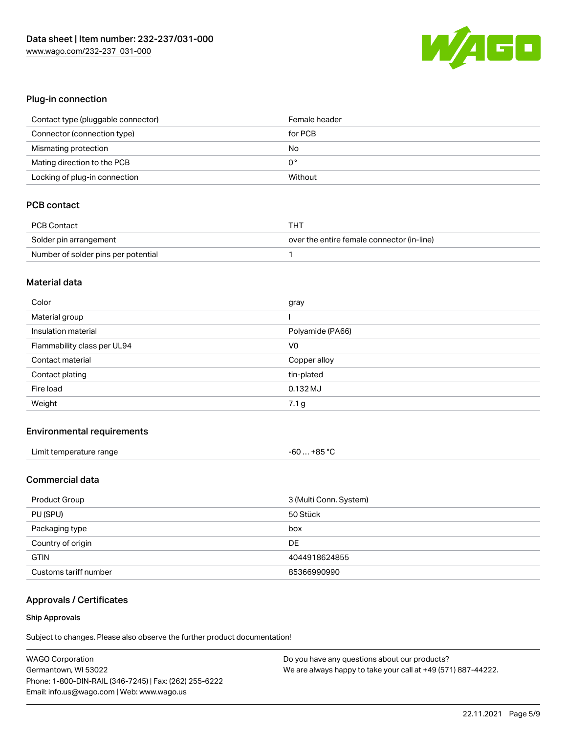

# Plug-in connection

| Contact type (pluggable connector) | Female header |
|------------------------------------|---------------|
| Connector (connection type)        | for PCB       |
| Mismating protection               | No            |
| Mating direction to the PCB        | 0°            |
| Locking of plug-in connection      | Without       |

# PCB contact

| <b>PCB Contact</b>                  | THT                                        |
|-------------------------------------|--------------------------------------------|
| Solder pin arrangement              | over the entire female connector (in-line) |
| Number of solder pins per potential |                                            |

#### Material data

| Color                       | gray             |
|-----------------------------|------------------|
| Material group              |                  |
| Insulation material         | Polyamide (PA66) |
| Flammability class per UL94 | V <sub>0</sub>   |
|                             |                  |
| Contact material            | Copper alloy     |
| Contact plating             | tin-plated       |
| Fire load                   | $0.132$ MJ       |

# Environmental requirements

| Limit temperature range | $-60+85 °C$ |
|-------------------------|-------------|
|-------------------------|-------------|

### Commercial data

| Product Group         | 3 (Multi Conn. System) |
|-----------------------|------------------------|
| PU (SPU)              | 50 Stück               |
| Packaging type        | box                    |
| Country of origin     | DE                     |
| <b>GTIN</b>           | 4044918624855          |
| Customs tariff number | 85366990990            |

# Approvals / Certificates

#### Ship Approvals

Subject to changes. Please also observe the further product documentation!

| <b>WAGO Corporation</b>                                | Do you have any questions about our products?                 |
|--------------------------------------------------------|---------------------------------------------------------------|
| Germantown, WI 53022                                   | We are always happy to take your call at +49 (571) 887-44222. |
| Phone: 1-800-DIN-RAIL (346-7245)   Fax: (262) 255-6222 |                                                               |
| Email: info.us@wago.com   Web: www.wago.us             |                                                               |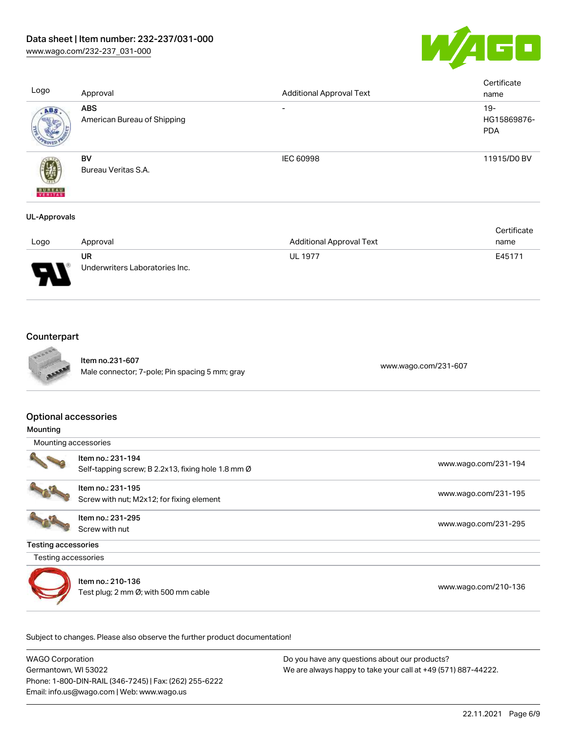



| Logo                     | Approval                                  | <b>Additional Approval Text</b> | Certificate<br>name                 |
|--------------------------|-------------------------------------------|---------------------------------|-------------------------------------|
| ABS                      | <b>ABS</b><br>American Bureau of Shipping | -                               | $19 -$<br>HG15869876-<br><b>PDA</b> |
| <b>BUREAU</b><br>VERITAS | <b>BV</b><br>Bureau Veritas S.A.          | <b>IEC 60998</b>                | 11915/D0 BV                         |
| <b>UL-Approvals</b>      |                                           |                                 |                                     |

|                               |                                |                                 | Certificate |
|-------------------------------|--------------------------------|---------------------------------|-------------|
| Logo                          | Approval                       | <b>Additional Approval Text</b> | name        |
|                               | UR                             | <b>UL 1977</b>                  | E45171      |
| J<br>$\overline{\phantom{0}}$ | Underwriters Laboratories Inc. |                                 |             |

# **Counterpart**



Item no.231-607 nem 10.231-007<br>Male connector; 7-pole; Pin spacing 5 mm; gray [www.wago.com/231-607](https://www.wago.com/231-607)

#### Optional accessories

|  | Mounting |  |
|--|----------|--|
|  |          |  |

Mounting accessories



Item no.: 231-194 Self-tapping screw; B 2.2x13, fixing hole 1.8 mm Ø [www.wago.com/231-194](http://www.wago.com/231-194)



Item no.: 231-195 nem no.. 231-195<br>Screw with nut; M2x12; for fixing element [www.wago.com/231-195](http://www.wago.com/231-195)

Item no.: 231-295 Screw with nut [www.wago.com/231-295](http://www.wago.com/231-295)

Testing accessories

Testing accessories



Item no.: 210-136 nem no.. 2 10-130<br>Test plug; 2 mm Ø; with 500 mm cable [www.wago.com/210-136](http://www.wago.com/210-136)

Subject to changes. Please also observe the further product documentation!

WAGO Corporation Germantown, WI 53022 Phone: 1-800-DIN-RAIL (346-7245) | Fax: (262) 255-6222 Email: info.us@wago.com | Web: www.wago.us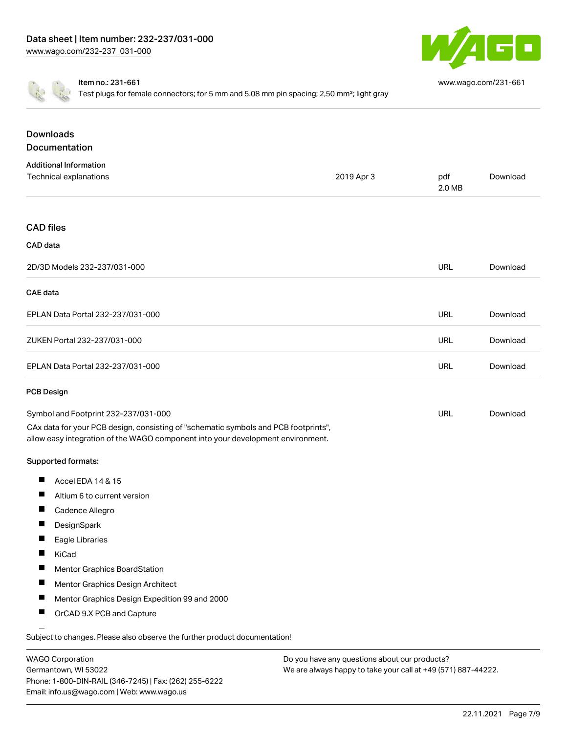

[www.wago.com/231-661](http://www.wago.com/231-661)

Item no.: 231-661

Test plugs for female connectors; for 5 mm and 5.08 mm pin spacing; 2,50 mm<sup>2</sup>; light gray

| <b>Downloads</b><br>Documentation                                                                                                                                      |            |               |          |
|------------------------------------------------------------------------------------------------------------------------------------------------------------------------|------------|---------------|----------|
|                                                                                                                                                                        |            |               |          |
| <b>Additional Information</b><br>Technical explanations                                                                                                                | 2019 Apr 3 | pdf<br>2.0 MB | Download |
| <b>CAD</b> files                                                                                                                                                       |            |               |          |
| CAD data                                                                                                                                                               |            |               |          |
| 2D/3D Models 232-237/031-000                                                                                                                                           |            | <b>URL</b>    | Download |
| <b>CAE</b> data                                                                                                                                                        |            |               |          |
| EPLAN Data Portal 232-237/031-000                                                                                                                                      |            | <b>URL</b>    | Download |
| ZUKEN Portal 232-237/031-000                                                                                                                                           |            | <b>URL</b>    | Download |
| EPLAN Data Portal 232-237/031-000                                                                                                                                      |            | <b>URL</b>    | Download |
| <b>PCB Design</b>                                                                                                                                                      |            |               |          |
| Symbol and Footprint 232-237/031-000                                                                                                                                   |            | <b>URL</b>    | Download |
| CAx data for your PCB design, consisting of "schematic symbols and PCB footprints",<br>allow easy integration of the WAGO component into your development environment. |            |               |          |
| Supported formats:                                                                                                                                                     |            |               |          |
| ш<br>Accel EDA 14 & 15                                                                                                                                                 |            |               |          |
| Altium 6 to current version                                                                                                                                            |            |               |          |
| Cadence Allegro                                                                                                                                                        |            |               |          |
| DesignSpark                                                                                                                                                            |            |               |          |
| Eagle Libraries                                                                                                                                                        |            |               |          |
| KiCad                                                                                                                                                                  |            |               |          |
| Mentor Graphics BoardStation                                                                                                                                           |            |               |          |
| Mentor Graphics Design Architect                                                                                                                                       |            |               |          |
| Mentor Graphics Design Expedition 99 and 2000                                                                                                                          |            |               |          |
| Ш<br>OrCAD 9.X PCB and Capture                                                                                                                                         |            |               |          |
| Subject to changes. Please also observe the further product documentation!                                                                                             |            |               |          |

WAGO Corporation Germantown, WI 53022 Phone: 1-800-DIN-RAIL (346-7245) | Fax: (262) 255-6222 Email: info.us@wago.com | Web: www.wago.us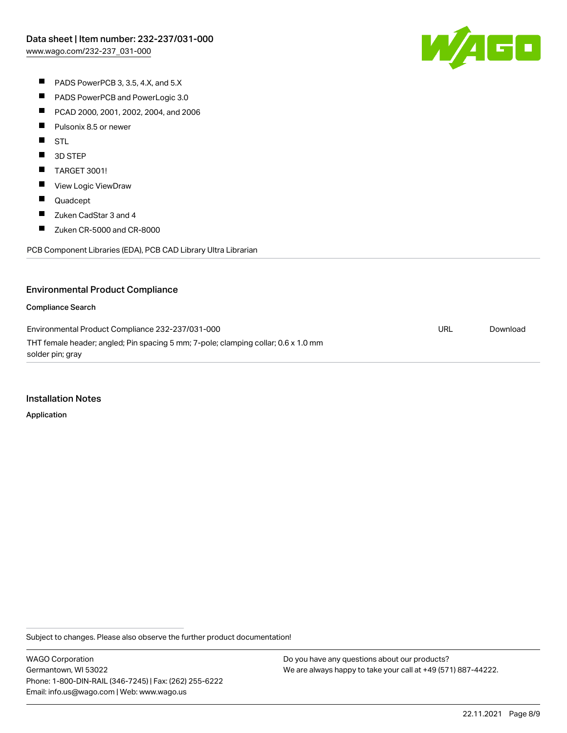W/AGC

- PADS PowerPCB 3, 3.5, 4.X, and 5.X
- $\blacksquare$ PADS PowerPCB and PowerLogic 3.0
- $\blacksquare$ PCAD 2000, 2001, 2002, 2004, and 2006
- $\blacksquare$ Pulsonix 8.5 or newer
- **STL**
- $\blacksquare$ 3D STEP
- $\blacksquare$ TARGET 3001!
- $\blacksquare$ View Logic ViewDraw
- $\blacksquare$ Quadcept
- $\blacksquare$ Zuken CadStar 3 and 4
- $\blacksquare$ Zuken CR-5000 and CR-8000

PCB Component Libraries (EDA), PCB CAD Library Ultra Librarian

# Environmental Product Compliance

#### Compliance Search

Environmental Product Compliance 232-237/031-000 THT female header; angled; Pin spacing 5 mm; 7-pole; clamping collar; 0.6 x 1.0 mm solder pin; gray URL [Download](https://www.wago.com/global/d/ComplianceLinkMediaContainer_232-237_031-000)

#### Installation Notes

Application

Subject to changes. Please also observe the further product documentation!

WAGO Corporation Germantown, WI 53022 Phone: 1-800-DIN-RAIL (346-7245) | Fax: (262) 255-6222 Email: info.us@wago.com | Web: www.wago.us